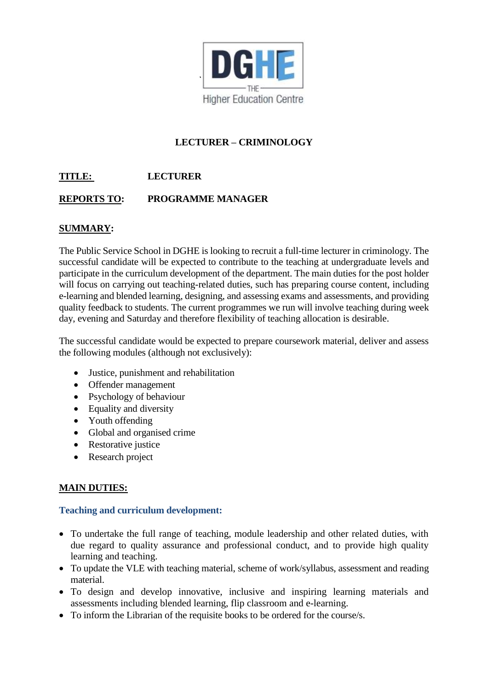

# **LECTURER – CRIMINOLOGY**

### **TITLE: LECTURER**

### **REPORTS TO: PROGRAMME MANAGER**

### **SUMMARY:**

The Public Service School in DGHE is looking to recruit a full-time lecturer in criminology. The successful candidate will be expected to contribute to the teaching at undergraduate levels and participate in the curriculum development of the department. The main duties for the post holder will focus on carrying out teaching-related duties, such has preparing course content, including e-learning and blended learning, designing, and assessing exams and assessments, and providing quality feedback to students. The current programmes we run will involve teaching during week day, evening and Saturday and therefore flexibility of teaching allocation is desirable.

The successful candidate would be expected to prepare coursework material, deliver and assess the following modules (although not exclusively):

- Justice, punishment and rehabilitation
- Offender management
- Psychology of behaviour
- Equality and diversity
- Youth offending
- Global and organised crime
- Restorative justice
- Research project

#### **MAIN DUTIES:**

#### **Teaching and curriculum development:**

- To undertake the full range of teaching, module leadership and other related duties, with due regard to quality assurance and professional conduct, and to provide high quality learning and teaching.
- To update the VLE with teaching material, scheme of work/syllabus, assessment and reading material.
- To design and develop innovative, inclusive and inspiring learning materials and assessments including blended learning, flip classroom and e-learning.
- To inform the Librarian of the requisite books to be ordered for the course/s.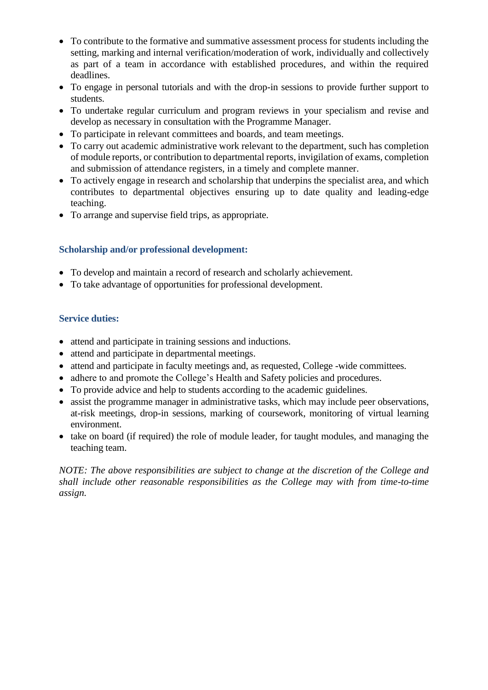- To contribute to the formative and summative assessment process for students including the setting, marking and internal verification/moderation of work, individually and collectively as part of a team in accordance with established procedures, and within the required deadlines.
- To engage in personal tutorials and with the drop-in sessions to provide further support to students.
- To undertake regular curriculum and program reviews in your specialism and revise and develop as necessary in consultation with the Programme Manager.
- To participate in relevant committees and boards, and team meetings.
- To carry out academic administrative work relevant to the department, such has completion of module reports, or contribution to departmental reports, invigilation of exams, completion and submission of attendance registers, in a timely and complete manner.
- To actively engage in research and scholarship that underpins the specialist area, and which contributes to departmental objectives ensuring up to date quality and leading-edge teaching.
- To arrange and supervise field trips, as appropriate.

#### **Scholarship and/or professional development:**

- To develop and maintain a record of research and scholarly achievement.
- To take advantage of opportunities for professional development.

#### **Service duties:**

- attend and participate in training sessions and inductions.
- attend and participate in departmental meetings.
- attend and participate in faculty meetings and, as requested, College -wide committees.
- adhere to and promote the College's Health and Safety policies and procedures.
- To provide advice and help to students according to the academic guidelines.
- assist the programme manager in administrative tasks, which may include peer observations, at-risk meetings, drop-in sessions, marking of coursework, monitoring of virtual learning environment.
- take on board (if required) the role of module leader, for taught modules, and managing the teaching team.

*NOTE: The above responsibilities are subject to change at the discretion of the College and shall include other reasonable responsibilities as the College may with from time-to-time assign.*